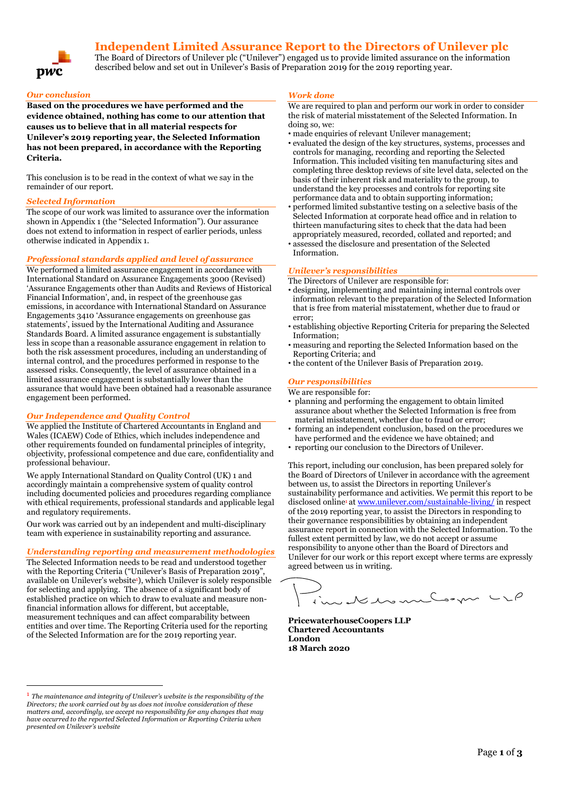# **Independent Limited Assurance Report to the Directors of Unilever plc**



### The Board of Directors of Unilever plc ("Unilever") engaged us to provide limited assurance on the information described below and set out in Unilever's Basis of Preparation 2019 for the 2019 reporting year.

### *Our conclusion*

**Based on the procedures we have performed and the evidence obtained, nothing has come to our attention that causes us to believe that in all material respects for Unilever's 2019 reporting year, the Selected Information has not been prepared, in accordance with the Reporting Criteria.**

This conclusion is to be read in the context of what we say in the remainder of our report.

### *Selected Information*

The scope of our work was limited to assurance over the information shown in Appendix 1 (the "Selected Information"). Our assurance does not extend to information in respect of earlier periods, unless otherwise indicated in Appendix 1.

### *Professional standards applied and level of assurance*

We performed a limited assurance engagement in accordance with International Standard on Assurance Engagements 3000 (Revised) 'Assurance Engagements other than Audits and Reviews of Historical Financial Information', and, in respect of the greenhouse gas emissions, in accordance with International Standard on Assurance Engagements 3410 'Assurance engagements on greenhouse gas statements', issued by the International Auditing and Assurance Standards Board. A limited assurance engagement is substantially less in scope than a reasonable assurance engagement in relation to both the risk assessment procedures, including an understanding of internal control, and the procedures performed in response to the assessed risks. Consequently, the level of assurance obtained in a limited assurance engagement is substantially lower than the assurance that would have been obtained had a reasonable assurance engagement been performed.

### *Our Independence and Quality Control*

We applied the Institute of Chartered Accountants in England and Wales (ICAEW) Code of Ethics, which includes independence and other requirements founded on fundamental principles of integrity, objectivity, professional competence and due care, confidentiality and professional behaviour.

We apply International Standard on Quality Control (UK) 1 and accordingly maintain a comprehensive system of quality control including documented policies and procedures regarding compliance with ethical requirements, professional standards and applicable legal and regulatory requirements.

Our work was carried out by an independent and multi-disciplinary team with experience in sustainability reporting and assurance.

### *Understanding reporting and measurement methodologies*

The Selected Information needs to be read and understood together with the Reporting Criteria ("Unilever's Basis of Preparation 2019") available on Unilever's website<sup>1</sup>), which Unilever is solely responsible for selecting and applying. The absence of a significant body of established practice on which to draw to evaluate and measure nonfinancial information allows for different, but acceptable, measurement techniques and can affect comparability between entities and over time. The Reporting Criteria used for the reporting of the Selected Information are for the 2019 reporting year.

### *Work done*

We are required to plan and perform our work in order to consider the risk of material misstatement of the Selected Information. In doing so, we:

- made enquiries of relevant Unilever management;
- evaluated the design of the key structures, systems, processes and controls for managing, recording and reporting the Selected Information. This included visiting ten manufacturing sites and completing three desktop reviews of site level data, selected on the basis of their inherent risk and materiality to the group, to understand the key processes and controls for reporting site performance data and to obtain supporting information;
- performed limited substantive testing on a selective basis of the Selected Information at corporate head office and in relation to thirteen manufacturing sites to check that the data had been appropriately measured, recorded, collated and reported; and
- assessed the disclosure and presentation of the Selected Information.

### *Unilever's responsibilities*

The Directors of Unilever are responsible for:

- designing, implementing and maintaining internal controls over information relevant to the preparation of the Selected Information that is free from material misstatement, whether due to fraud or error;
- establishing objective Reporting Criteria for preparing the Selected Information;
- measuring and reporting the Selected Information based on the Reporting Criteria; and
- the content of the Unilever Basis of Preparation 2019.

### *Our responsibilities*

- We are responsible for:
- planning and performing the engagement to obtain limited assurance about whether the Selected Information is free from material misstatement, whether due to fraud or error;
- forming an independent conclusion, based on the procedures we have performed and the evidence we have obtained; and
- reporting our conclusion to the Directors of Unilever.

This report, including our conclusion, has been prepared solely for the Board of Directors of Unilever in accordance with the agreement between us, to assist the Directors in reporting Unilever's sustainability performance and activities. We permit this report to be disclosed online<sup>1</sup> a[t www.unilever.com/sustainable-living/](http://www.unilever.com/sustainable-living/) in respect of the 2019 reporting year, to assist the Directors in responding to their governance responsibilities by obtaining an independent assurance report in connection with the Selected Information. To the fullest extent permitted by law, we do not accept or assume responsibility to anyone other than the Board of Directors and Unilever for our work or this report except where terms are expressly agreed between us in writing.

Jedenment und

**PricewaterhouseCoopers LLP Chartered Accountants London 18 March 2020**

<sup>1</sup> *The maintenance and integrity of Unilever's website is the responsibility of the Directors; the work carried out by us does not involve consideration of these matters and, accordingly, we accept no responsibility for any changes that may have occurred to the reported Selected Information or Reporting Criteria when presented on Unilever's website*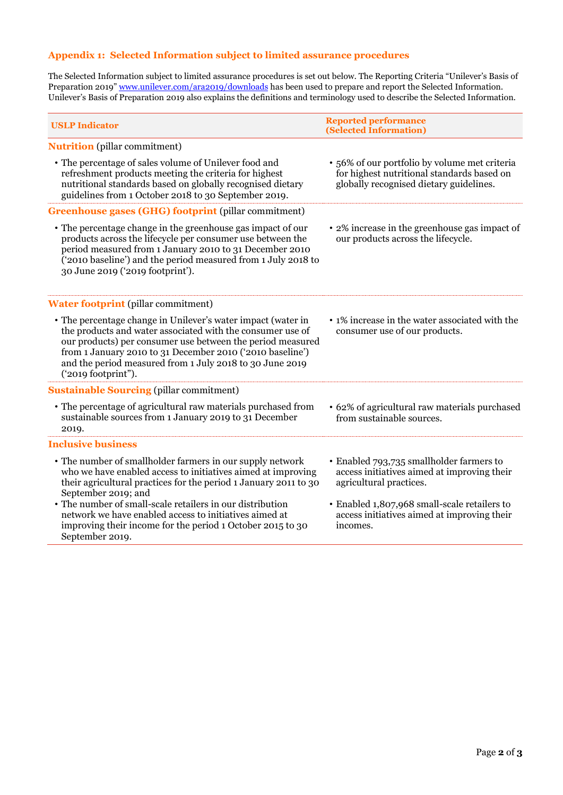## **Appendix 1: Selected Information subject to limited assurance procedures**

The Selected Information subject to limited assurance procedures is set out below. The Reporting Criteria "Unilever's Basis of Preparation 2019" [www.unilever.com/ara2019/downloads](http://www.unilever.com/ara2017/downloads) has been used to prepare and report the Selected Information. Unilever's Basis of Preparation 2019 also explains the definitions and terminology used to describe the Selected Information.

| <b>USLP Indicator</b>                                                                                                                                                                                                                                                                                                                                                                                                        | <b>Reported performance</b><br>(Selected Information)                                                                                                                                                                         |
|------------------------------------------------------------------------------------------------------------------------------------------------------------------------------------------------------------------------------------------------------------------------------------------------------------------------------------------------------------------------------------------------------------------------------|-------------------------------------------------------------------------------------------------------------------------------------------------------------------------------------------------------------------------------|
| <b>Nutrition</b> (pillar commitment)                                                                                                                                                                                                                                                                                                                                                                                         |                                                                                                                                                                                                                               |
| • The percentage of sales volume of Unilever food and<br>refreshment products meeting the criteria for highest<br>nutritional standards based on globally recognised dietary<br>guidelines from 1 October 2018 to 30 September 2019.                                                                                                                                                                                         | · 56% of our portfolio by volume met criteria<br>for highest nutritional standards based on<br>globally recognised dietary guidelines.                                                                                        |
| <b>Greenhouse gases (GHG) footprint (pillar commitment)</b>                                                                                                                                                                                                                                                                                                                                                                  |                                                                                                                                                                                                                               |
| • The percentage change in the greenhouse gas impact of our<br>products across the lifecycle per consumer use between the<br>period measured from 1 January 2010 to 31 December 2010<br>('2010 baseline') and the period measured from 1 July 2018 to<br>30 June 2019 ('2019 footprint').                                                                                                                                    | • 2% increase in the greenhouse gas impact of<br>our products across the lifecycle.                                                                                                                                           |
| <b>Water footprint</b> (pillar commitment)                                                                                                                                                                                                                                                                                                                                                                                   |                                                                                                                                                                                                                               |
| • The percentage change in Unilever's water impact (water in<br>the products and water associated with the consumer use of<br>our products) per consumer use between the period measured<br>from 1 January 2010 to 31 December 2010 ('2010 baseline')<br>and the period measured from 1 July 2018 to 30 June 2019<br>('2019 footprint").                                                                                     | • 1% increase in the water associated with the<br>consumer use of our products.                                                                                                                                               |
| <b>Sustainable Sourcing (pillar commitment)</b>                                                                                                                                                                                                                                                                                                                                                                              |                                                                                                                                                                                                                               |
| • The percentage of agricultural raw materials purchased from<br>sustainable sources from 1 January 2019 to 31 December<br>2019.                                                                                                                                                                                                                                                                                             | • 62% of agricultural raw materials purchased<br>from sustainable sources.                                                                                                                                                    |
| <b>Inclusive business</b>                                                                                                                                                                                                                                                                                                                                                                                                    |                                                                                                                                                                                                                               |
| • The number of smallholder farmers in our supply network<br>who we have enabled access to initiatives aimed at improving<br>their agricultural practices for the period 1 January 2011 to 30<br>September 2019; and<br>• The number of small-scale retailers in our distribution<br>network we have enabled access to initiatives aimed at<br>improving their income for the period 1 October 2015 to 30<br>September 2019. | • Enabled 793,735 smallholder farmers to<br>access initiatives aimed at improving their<br>agricultural practices.<br>• Enabled 1,807,968 small-scale retailers to<br>access initiatives aimed at improving their<br>incomes. |
|                                                                                                                                                                                                                                                                                                                                                                                                                              |                                                                                                                                                                                                                               |